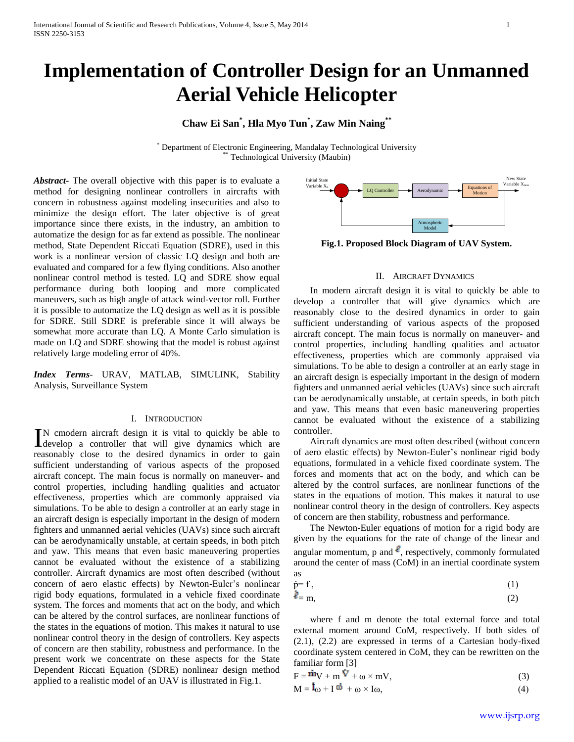# **Implementation of Controller Design for an Unmanned Aerial Vehicle Helicopter**

### **Chaw Ei San\* , Hla Myo Tun\* , Zaw Min Naing\*\***

\* Department of Electronic Engineering, Mandalay Technological University Technological University (Maubin)

as

*Abstract***-** The overall objective with this paper is to evaluate a method for designing nonlinear controllers in aircrafts with concern in robustness against modeling insecurities and also to minimize the design effort. The later objective is of great importance since there exists, in the industry, an ambition to automatize the design for as far extend as possible. The nonlinear method, State Dependent Riccati Equation (SDRE), used in this work is a nonlinear version of classic LQ design and both are evaluated and compared for a few flying conditions. Also another nonlinear control method is tested. LQ and SDRE show equal performance during both looping and more complicated maneuvers, such as high angle of attack wind-vector roll. Further it is possible to automatize the LQ design as well as it is possible for SDRE. Still SDRE is preferable since it will always be somewhat more accurate than LQ. A Monte Carlo simulation is made on LQ and SDRE showing that the model is robust against relatively large modeling error of 40%.

*Index Terms*- URAV, MATLAB, SIMULINK, Stability Analysis, Surveillance System

### I. INTRODUCTION

N cmodern aircraft design it is vital to quickly be able to IN cmodern aircraft design it is vital to quickly be able to develop a controller that will give dynamics which are reasonably close to the desired dynamics in order to gain sufficient understanding of various aspects of the proposed aircraft concept. The main focus is normally on maneuver- and control properties, including handling qualities and actuator effectiveness, properties which are commonly appraised via simulations. To be able to design a controller at an early stage in an aircraft design is especially important in the design of modern fighters and unmanned aerial vehicles (UAVs) since such aircraft can be aerodynamically unstable, at certain speeds, in both pitch and yaw. This means that even basic maneuvering properties cannot be evaluated without the existence of a stabilizing controller. Aircraft dynamics are most often described (without concern of aero elastic effects) by Newton-Euler's nonlinear rigid body equations, formulated in a vehicle fixed coordinate system. The forces and moments that act on the body, and which can be altered by the control surfaces, are nonlinear functions of the states in the equations of motion. This makes it natural to use nonlinear control theory in the design of controllers. Key aspects of concern are then stability, robustness and performance. In the present work we concentrate on these aspects for the State Dependent Riccati Equation (SDRE) nonlinear design method applied to a realistic model of an UAV is illustrated in Fig.1.



**Fig.1. Proposed Block Diagram of UAV System.**

### II. AIRCRAFT DYNAMICS

 In modern aircraft design it is vital to quickly be able to develop a controller that will give dynamics which are reasonably close to the desired dynamics in order to gain sufficient understanding of various aspects of the proposed aircraft concept. The main focus is normally on maneuver- and control properties, including handling qualities and actuator effectiveness, properties which are commonly appraised via simulations. To be able to design a controller at an early stage in an aircraft design is especially important in the design of modern fighters and unmanned aerial vehicles (UAVs) since such aircraft can be aerodynamically unstable, at certain speeds, in both pitch and yaw. This means that even basic maneuvering properties cannot be evaluated without the existence of a stabilizing controller.

 Aircraft dynamics are most often described (without concern of aero elastic effects) by Newton-Euler's nonlinear rigid body equations, formulated in a vehicle fixed coordinate system. The forces and moments that act on the body, and which can be altered by the control surfaces, are nonlinear functions of the states in the equations of motion. This makes it natural to use nonlinear control theory in the design of controllers. Key aspects of concern are then stability, robustness and performance.

 The Newton-Euler equations of motion for a rigid body are given by the equations for the rate of change of the linear and angular momentum, p and  $\ell$ , respectively, commonly formulated around the center of mass (CoM) in an inertial coordinate system

$$
\dot{p} = f, \tag{1}
$$

$$
\ell = m,\tag{2}
$$

 where f and m denote the total external force and total external moment around CoM, respectively. If both sides of (2.1), (2.2) are expressed in terms of a Cartesian body-fixed coordinate system centered in CoM, they can be rewritten on the familiar form [3]

| $F = mV + mV + \omega \times mV$ ,                                                       |     |
|------------------------------------------------------------------------------------------|-----|
| $M = \mathbf{1}_{\omega} + \mathbf{1} \ddot{\omega} + \omega \times \mathbf{1}_{\omega}$ | (4) |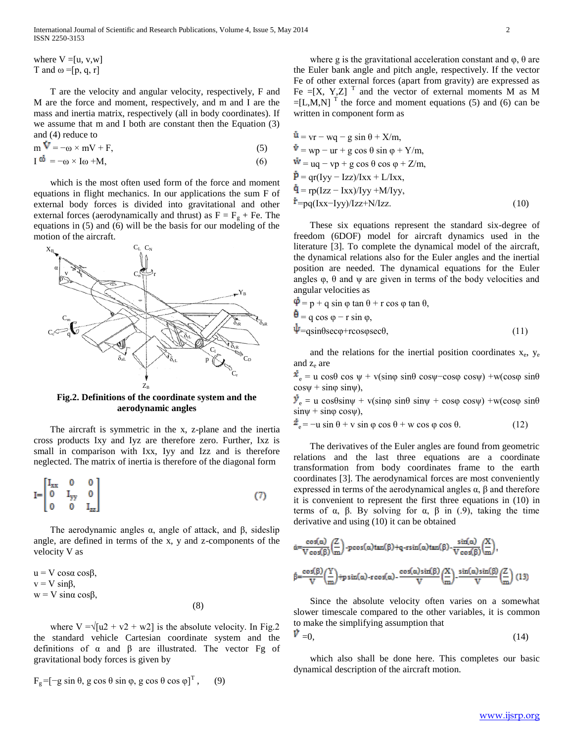where  $V = [u, v, w]$ T and  $\omega = [p, q, r]$ 

 T are the velocity and angular velocity, respectively, F and M are the force and moment, respectively, and m and I are the mass and inertia matrix, respectively (all in body coordinates). If we assume that m and I both are constant then the Equation (3) and (4) reduce to

 $m \mathbf{V} = -\omega \times mV + F,$  (5)

 $I^{\omega} = -\omega \times I \omega + M,$  (6)

 which is the most often used form of the force and moment equations in flight mechanics. In our applications the sum F of external body forces is divided into gravitational and other external forces (aerodynamically and thrust) as  $F = F<sub>g</sub> + Fe$ . The equations in (5) and (6) will be the basis for our modeling of the motion of the aircraft.



**Fig.2. Definitions of the coordinate system and the aerodynamic angles**

 The aircraft is symmetric in the x, z-plane and the inertia cross products Ixy and Iyz are therefore zero. Further, Ixz is small in comparison with Ixx, Iyy and Izz and is therefore neglected. The matrix of inertia is therefore of the diagonal form

$$
I = \begin{bmatrix} I_{xx} & 0 & 0 \\ 0 & I_{yy} & 0 \\ 0 & 0 & I_{zz} \end{bmatrix}
$$
 (7)

The aerodynamic angles  $α$ , angle of attack, and  $β$ , sideslip angle, are defined in terms of the x, y and z-components of the velocity V as

 $u = V \cos \alpha \cos \beta$ .  $v = V \sin\beta$ ,  $w = V \sin \alpha \cos \beta$ , (8)

where  $V = \sqrt{u^2 + v^2 + w^2}$  is the absolute velocity. In Fig.2 the standard vehicle Cartesian coordinate system and the definitions of  $\alpha$  and  $\beta$  are illustrated. The vector Fg of gravitational body forces is given by

$$
F_g = [-g \sin \theta, g \cos \theta \sin \varphi, g \cos \theta \cos \varphi]^T, \quad (9)
$$

where g is the gravitational acceleration constant and  $\varphi$ ,  $\theta$  are the Euler bank angle and pitch angle, respectively. If the vector Fe of other external forces (apart from gravity) are expressed as Fe  $=[X, Y, Z]$ <sup>T</sup> and the vector of external moments M as M  $=[L,M,N]$ <sup>T</sup> the force and moment equations (5) and (6) can be written in component form as

$$
\begin{aligned}\n\dot{\mathbf{u}} &= \mathbf{v}\mathbf{r} - \mathbf{w}\mathbf{q} - \mathbf{g}\sin\theta + \mathbf{X}/\mathbf{m}, \\
\dot{\mathbf{v}} &= \mathbf{w}\mathbf{p} - \mathbf{u}\mathbf{r} + \mathbf{g}\cos\theta\sin\phi + \mathbf{Y}/\mathbf{m}, \\
\dot{\mathbf{w}} &= \mathbf{u}\mathbf{q} - \mathbf{v}\mathbf{p} + \mathbf{g}\cos\theta\cos\phi + \mathbf{Z}/\mathbf{m}, \\
\dot{\mathbf{p}} &= \mathbf{q}\mathbf{r}(\mathbf{I}\mathbf{y}\mathbf{y} - \mathbf{I}\mathbf{z}\mathbf{z})/\mathbf{I}\mathbf{x}\mathbf{x} + \mathbf{L}/\mathbf{I}\mathbf{x}\mathbf{x}, \\
\dot{\mathbf{q}} &= \mathbf{r}\mathbf{p}(\mathbf{I}\mathbf{z}\mathbf{z} - \mathbf{I}\mathbf{x}\mathbf{x})/\mathbf{I}\mathbf{y}\mathbf{y} + \mathbf{M}/\mathbf{I}\mathbf{y}\mathbf{y}, \\
\dot{\mathbf{r}} &= \mathbf{p}\mathbf{q}(\mathbf{I}\mathbf{x}\mathbf{x} - \mathbf{I}\mathbf{y}\mathbf{y})/\mathbf{I}\mathbf{z}\mathbf{z} + \mathbf{N}/\mathbf{I}\mathbf{z}\mathbf{z}.\n\end{aligned} \tag{10}
$$

 These six equations represent the standard six-degree of freedom (6DOF) model for aircraft dynamics used in the literature [3]. To complete the dynamical model of the aircraft, the dynamical relations also for the Euler angles and the inertial position are needed. The dynamical equations for the Euler angles  $\varphi$ ,  $\theta$  and  $\psi$  are given in terms of the body velocities and angular velocities as

$$
\begin{aligned}\n\varphi &= p + q \sin \varphi \tan \theta + r \cos \varphi \tan \theta, \\
\dot{\theta} &= q \cos \varphi - r \sin \varphi, \\
\psi &= q \sin \theta \sec \varphi + r \cos \varphi \sec \theta,\n\end{aligned}\n\tag{11}
$$

and the relations for the inertial position coordinates  $x_e$ ,  $y_e$ and  $z_e$  are

 $\dot{x}_e$  = u cosθ cos ψ + v(sinφ sinθ cosψ−cosφ cosψ) +w(cosφ sinθ  $\cos\psi + \sin\phi \sin\psi$ ),

 $\dot{v}_e$  = u cos $\theta$ sin $\psi$  + v(sin $\phi$  sin $\theta$  sin $\psi$  + cos $\phi$  cos $\psi$ ) +w(cos $\phi$  sin $\theta$  $\sin\psi$  +  $\sin\phi$  cos $\psi$ ),

 $\overline{z}_e = -u \sin \theta + v \sin \varphi \cos \theta + w \cos \varphi \cos \theta.$  (12)

 The derivatives of the Euler angles are found from geometric relations and the last three equations are a coordinate transformation from body coordinates frame to the earth coordinates [3]. The aerodynamical forces are most conveniently expressed in terms of the aerodynamical angles  $\alpha$ ,  $\beta$  and therefore it is convenient to represent the first three equations in (10) in terms of α, β. By solving for α, β in (.9), taking the time derivative and using (10) it can be obtained

$$
\begin{split} &\dot{\alpha} = \frac{\cos(\alpha)}{V\cos(\beta)} \left(\frac{Z}{m}\right) - p\cos(\alpha)\tan(\beta) + q \cdot r\sin(\alpha)\tan(\beta) \cdot \frac{\sin(\alpha)}{V\cos(\beta)} \left(\frac{X}{m}\right), \\ &\dot{\beta} = \frac{\cos(\beta)}{V} \left(\frac{Y}{m}\right) + p\sin(\alpha) \cdot r\cos(\alpha) \cdot \frac{\cos(\alpha)\sin(\beta)}{V} \left(\frac{X}{m}\right) \cdot \frac{\sin(\alpha)\sin(\beta)}{V} \left(\frac{Z}{m}\right) (13) \end{split}
$$

 Since the absolute velocity often varies on a somewhat slower timescale compared to the other variables, it is common to make the simplifying assumption that

$$
V = 0,\tag{14}
$$

 which also shall be done here. This completes our basic dynamical description of the aircraft motion.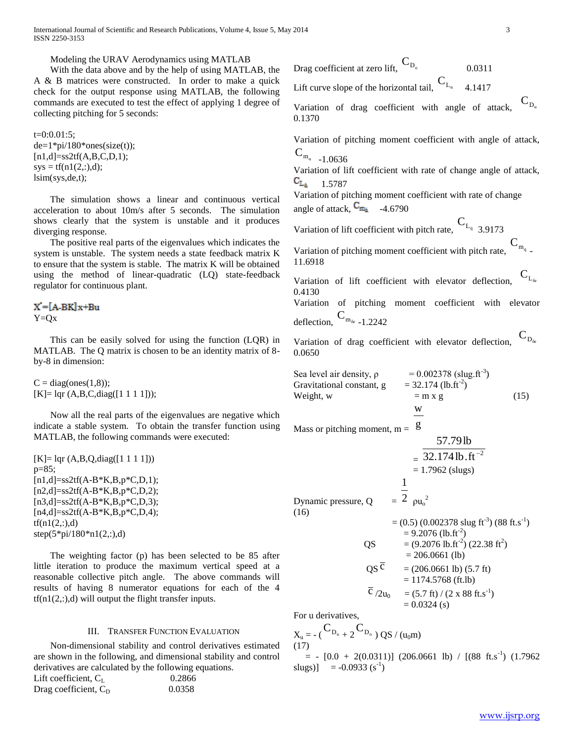International Journal of Scientific and Research Publications, Volume 4, Issue 5, May 2014 3 ISSN 2250-3153

Modeling the URAV Aerodynamics using MATLAB

 With the data above and by the help of using MATLAB, the A & B matrices were constructed. In order to make a quick check for the output response using MATLAB, the following commands are executed to test the effect of applying 1 degree of collecting pitching for 5 seconds:

 $t=0:0.01:5;$  $de=1*pi/180*ones(size(t));$  $[n1,d] = ss2tf(A,B,C,D,1);$  $sys = tf(n1(2, :), d);$ lsim(sys,de,t);

 The simulation shows a linear and continuous vertical acceleration to about 10m/s after 5 seconds. The simulation shows clearly that the system is unstable and it produces diverging response.

 The positive real parts of the eigenvalues which indicates the system is unstable. The system needs a state feedback matrix K to ensure that the system is stable. The matrix K will be obtained using the method of linear-quadratic (LQ) state-feedback regulator for continuous plant.

 $X = [A-BK]x+Bu$  $Y=Qx$ 

 This can be easily solved for using the function (LQR) in MATLAB. The Q matrix is chosen to be an identity matrix of 8 by-8 in dimension:

 $C = diag(ones(1,8));$  $[K] = \text{Iqr } (A,B,C,\text{diag}([1\ 1\ 1\ 1]))$ ;

 Now all the real parts of the eigenvalues are negative which indicate a stable system. To obtain the transfer function using MATLAB, the following commands were executed:

[K]= lqr (A,B,Q,diag([1 1 1 1])) p=85; [n1,d]=ss2tf(A-B\*K,B,p\*C,D,1); [n2,d]=ss2tf(A-B\*K,B,p\*C,D,2); [n3,d]=ss2tf(A-B\*K,B,p\*C,D,3); [n4,d]=ss2tf(A-B\*K,B,p\*C,D,4); tf(n1(2,:),d) step(5\*pi/180\*n1(2,:),d)

 The weighting factor (p) has been selected to be 85 after little iteration to produce the maximum vertical speed at a reasonable collective pitch angle. The above commands will results of having 8 numerator equations for each of the 4  $tf(n1(2,:),d)$  will output the flight transfer inputs.

### III. TRANSFER FUNCTION EVALUATION

 Non-dimensional stability and control derivatives estimated are shown in the following, and dimensional stability and control derivatives are calculated by the following equations.

| Lift coefficient, $C_{I}$ | 0.2866 |
|---------------------------|--------|
| Drag coefficient, $C_D$   | 0.0358 |

$$
(\text{Drag coefficient at zero lift}, \, C_{D_0})
$$

Lift curve slope of the horizontal tail,  $C_{L_{\alpha}}$ 4.1417

Variation of drag coefficient with angle of attack,  $\overline{\mathbf{C}}_{\mathbf{D}_a}$ 0.1370

Variation of pitching moment coefficient with angle of attack,  $C_{m_{\alpha} -1.0636}$ 

Variation of lift coefficient with rate of change angle of attack,  $\mathrm{C_{L_{\ddot\alpha}}}$ 1.5787

Variation of pitching moment coefficient with rate of change angle of attack,  $C_{m_{\tilde{a}}}$  -4.6790

Variation of lift coefficient with pitch rate,  $C_{L_q}$  3.9173

Variation of pitching moment coefficient with pitch rate,  $C_{m_q}$ . 11.6918

Variation of lift coefficient with elevator deflection,  $\mathsf{C}_\mathrm{L_{\delta e}}$ 0.4130 Variation of pitching moment coefficient with elevator deflection,  $C_{m_{\delta e} - 1.2242}$ 

Variation of drag coefficient with elevator deflection,  $D_{\delta e}$  $\mathcal{C}_{0}^{(n)}$ 0.0650

Sea level air density, ρ = 0.002378 (slug.ft-3 ) Gravitational constant, g = 32.174 (lb.ft-2 ) Weight, w = m x g (15) w

Mass or pitching moment,  $m = 8$ 

$$
\frac{57.79 \text{ lb}}{32.174 \text{ lb} \cdot \text{ft}^{-2}}
$$
  
= 1.7962 (slugs)  
Dynamic pressure, Q =  $\frac{1}{2}$  pu<sub>o</sub><sup>2</sup>  
= (0.5) (0.002378 slug ft<sup>-3</sup>) (88 ft.s<sup>-1</sup>)

$$
= 9.2076 \text{ (lb. ft}^2)
$$
  
\n
$$
= (9.2076 \text{ lb. ft}^2) (22.38 \text{ ft}^2)
$$
  
\n
$$
= 206.0661 \text{ (lb)}
$$
  
\n
$$
QS \overline{C} = (206.0661 \text{ lb}) (5.7 \text{ ft})
$$
  
\n
$$
= 1174.5768 \text{ (ft. lb)}
$$
  
\n
$$
\overline{C}/2u_0 = (5.7 \text{ ft}) / (2 \text{ x } 88 \text{ ft.s}^{-1})
$$
  
\n
$$
= 0.0324 \text{ (s)}
$$

For u derivatives,

$$
\begin{array}{l} \displaystyle X_u = - \, \big( \, \mathbf{C}_{\, D_u} \, + \, 2 \, \mathbf{C}_{\, D_o} \, \big) \, \, QS \; / \; (u_0 m) \\ \displaystyle (17) \end{array}
$$

 $= -[0.0 + 2(0.0311)]$  (206.0661 lb) / [(88 ft.s<sup>-1</sup>) (1.7962 slugs)]  $= -0.0933$  (s<sup>-1</sup>)

0.0311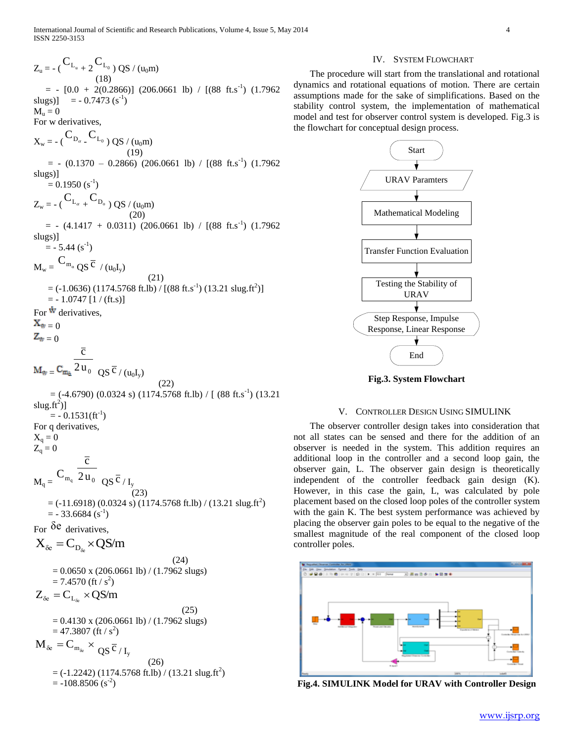$Z_{u} = -({C_{L_u}}_{+2}C_{L_0})$  QS / (u<sub>0</sub>m)

 The procedure will start from the translational and rotational dynamics and rotational equations of motion. There are certain assumptions made for the sake of simplifications. Based on the stability control system, the implementation of mathematical model and test for observer control system is developed. Fig.3 is the flowchart for conceptual design process.



**Fig.3. System Flowchart**

### V. CONTROLLER DESIGN USING SIMULINK

 The observer controller design takes into consideration that not all states can be sensed and there for the addition of an observer is needed in the system. This addition requires an additional loop in the controller and a second loop gain, the observer gain, L. The observer gain design is theoretically independent of the controller feedback gain design (K). However, in this case the gain, L, was calculated by pole placement based on the closed loop poles of the controller system with the gain K. The best system performance was achieved by placing the observer gain poles to be equal to the negative of the smallest magnitude of the real component of the closed loop controller poles.



**Fig.4. SIMULINK Model for URAV with Controller Design**

 (18)  $= -[0.0 + 2(0.2866)]$  (206.0661 lb) / [(88 ft.s<sup>-1</sup>) (1.7962 slugs)] =  $-0.7473$  (s<sup>-1</sup>)  $M_{\rm u}=0$ For w derivatives,  $\begin{split} \boldsymbol{\mathrm{X}}_{\mathrm{w}}=\text{-}\left(\boldsymbol{\mathrm{C}}_{\mathrm{D}_{\alpha}}\text{-}\boldsymbol{\mathrm{C}}_{\mathrm{L}_0}\right)\text{QS}/\left(\boldsymbol{\mathrm{u}}_0\boldsymbol{\mathrm{m}}\right) \end{split}$  (19)  $= - (0.1370 - 0.2866) (206.0661 \text{ lb}) / [(88 \text{ ft.s}^{-1}) (1.7962$ slugs)]  $= 0.1950 \, (s^{-1})$  $Z_{\rm w}$  = - (  ${\rm C_{L_{\alpha}}}_{+}$  +  ${\rm C_{D_o}}$  ) QS / (u<sub>0</sub>m) (20)  $= - (4.1417 + 0.0311) (206.0661 \text{ lb}) / [(88 \text{ ft.s}^{-1}) (1.7962$ slugs)]  $=$  - 5.44 (s<sup>-1</sup>)  $\rm\,M_{w} = \rm \,C_{m_{\alpha}}\,QS^{\,\overline{C}}$  /  $\rm\, (u_{0}I_{y})$  (21)  $=$  (-1.0636) (1174.5768 ft.lb) / [(88 ft.s<sup>-1</sup>) (13.21 slug.ft<sup>2</sup>)]  $= -1.0747$  [1 / (ft.s)] For  $\dot{w}$  derivatives.  $X_w = 0$  $Z_{w} = 0$  $\mathbf{C}_{\mathbf{m}_{\hat{\mathbf{u}}}}^2$  2  $\mathbf{u}_0$  $\overline{c}$  $\overline{\mathcal{C}}$  /  $(\mathbf{u}_0\mathbf{I}_y)$  (22)  $=$  (-4.6790) (0.0324 s) (1174.5768 ft.lb) / [ (88 ft.s<sup>-1</sup>) (13.21 slug.ft $^{2})$ ]  $= -0.1531 \text{(ft}^{-1})$ For q derivatives,  $X_q = 0$  $Z_{\rm q}=0$  $M_q = {C_{m_q}} \over 2 u_0$  $\overline{c}$  $\overline{QS} \, \overline{C}$  $\mathbf{I}_{\mathbf{y}}$  (23)  $=$  (-11.6918) (0.0324 s) (1174.5768 ft.lb) / (13.21 slug.ft<sup>2</sup>)  $=$  - 33.6684 (s<sup>-1</sup>) For δe derivatives,  $X_{\delta e} = C_{D_{\delta e}} \times QS/m$  (24)  $= 0.0650$  x (206.0661 lb) / (1.7962 slugs)  $= 7.4570$  (ft / s<sup>2</sup>)  $Z_{\delta e} = C_{L_{\delta e}} \times QS/m$  (25)  $= 0.4130$  x (206.0661 lb) / (1.7962 slugs)  $= 47.3807$  (ft / s<sup>2</sup>)  $M_{\delta e} = C_{m_{\delta e}} \times \frac{1}{QS} \overline{c}_{/I_{y}}$ (26)

## $=$  (-1.2242) (1174.5768 ft.lb) / (13.21 slug.ft<sup>2</sup>)  $= -108.8506$  (s<sup>-2</sup>)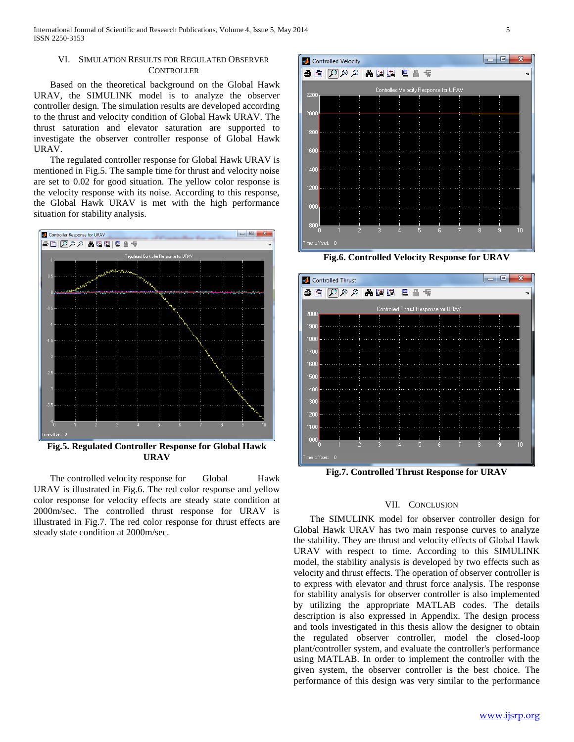### VI. SIMULATION RESULTS FOR REGULATED OBSERVER **CONTROLLER**

 Based on the theoretical background on the Global Hawk URAV, the SIMULINK model is to analyze the observer controller design. The simulation results are developed according to the thrust and velocity condition of Global Hawk URAV. The thrust saturation and elevator saturation are supported to investigate the observer controller response of Global Hawk URAV.

 The regulated controller response for Global Hawk URAV is mentioned in Fig.5. The sample time for thrust and velocity noise are set to 0.02 for good situation. The yellow color response is the velocity response with its noise. According to this response, the Global Hawk URAV is met with the high performance situation for stability analysis.



**Fig.5. Regulated Controller Response for Global Hawk URAV**

The controlled velocity response for Global Hawk URAV is illustrated in Fig.6. The red color response and yellow color response for velocity effects are steady state condition at 2000m/sec. The controlled thrust response for URAV is illustrated in Fig.7. The red color response for thrust effects are steady state condition at 2000m/sec.



**Fig.6. Controlled Velocity Response for URAV**



**Fig.7. Controlled Thrust Response for URAV**

### VII. CONCLUSION

 The SIMULINK model for observer controller design for Global Hawk URAV has two main response curves to analyze the stability. They are thrust and velocity effects of Global Hawk URAV with respect to time. According to this SIMULINK model, the stability analysis is developed by two effects such as velocity and thrust effects. The operation of observer controller is to express with elevator and thrust force analysis. The response for stability analysis for observer controller is also implemented by utilizing the appropriate MATLAB codes. The details description is also expressed in Appendix. The design process and tools investigated in this thesis allow the designer to obtain the regulated observer controller, model the closed-loop plant/controller system, and evaluate the controller's performance using MATLAB. In order to implement the controller with the given system, the observer controller is the best choice. The performance of this design was very similar to the performance